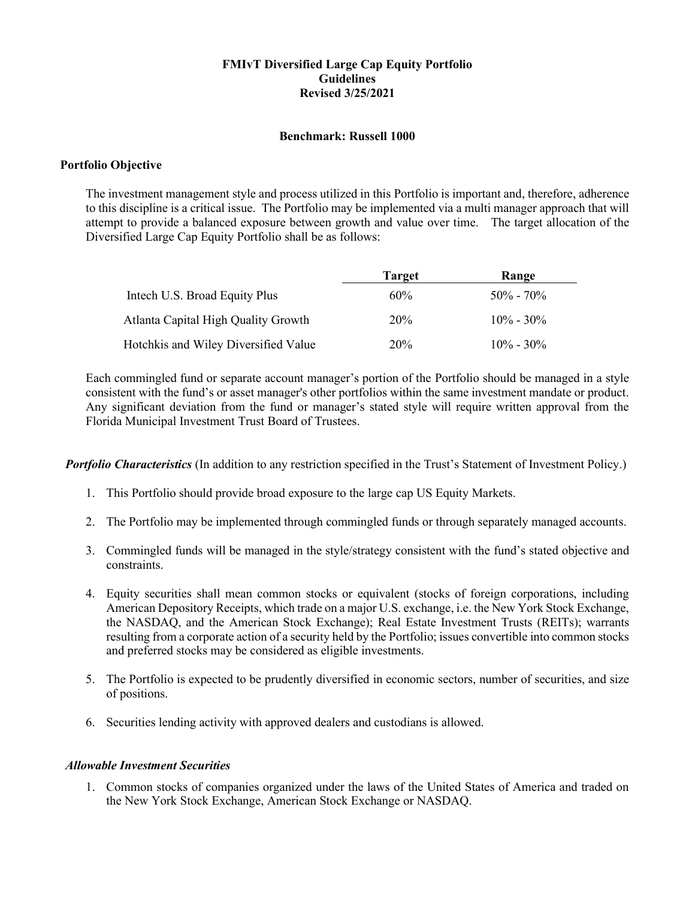## **FMIvT Diversified Large Cap Equity Portfolio Guidelines Revised 3/25/2021**

## **Benchmark: Russell 1000**

## **Portfolio Objective**

The investment management style and process utilized in this Portfolio is important and, therefore, adherence to this discipline is a critical issue. The Portfolio may be implemented via a multi manager approach that will attempt to provide a balanced exposure between growth and value over time. The target allocation of the Diversified Large Cap Equity Portfolio shall be as follows:

|                                      | <b>Target</b> | Range         |
|--------------------------------------|---------------|---------------|
| Intech U.S. Broad Equity Plus        | 60%           | $50\% - 70\%$ |
| Atlanta Capital High Quality Growth  | <b>20%</b>    | $10\% - 30\%$ |
| Hotchkis and Wiley Diversified Value | 20%           | $10\% - 30\%$ |

Each commingled fund or separate account manager's portion of the Portfolio should be managed in a style consistent with the fund's or asset manager's other portfolios within the same investment mandate or product. Any significant deviation from the fund or manager's stated style will require written approval from the Florida Municipal Investment Trust Board of Trustees.

*Portfolio Characteristics* (In addition to any restriction specified in the Trust's Statement of Investment Policy.)

- 1. This Portfolio should provide broad exposure to the large cap US Equity Markets.
- 2. The Portfolio may be implemented through commingled funds or through separately managed accounts.
- 3. Commingled funds will be managed in the style/strategy consistent with the fund's stated objective and constraints.
- 4. Equity securities shall mean common stocks or equivalent (stocks of foreign corporations, including American Depository Receipts, which trade on a major U.S. exchange, i.e. the New York Stock Exchange, the NASDAQ, and the American Stock Exchange); Real Estate Investment Trusts (REITs); warrants resulting from a corporate action of a security held by the Portfolio; issues convertible into common stocks and preferred stocks may be considered as eligible investments.
- 5. The Portfolio is expected to be prudently diversified in economic sectors, number of securities, and size of positions.
- 6. Securities lending activity with approved dealers and custodians is allowed.

## *Allowable Investment Securities*

1. Common stocks of companies organized under the laws of the United States of America and traded on the New York Stock Exchange, American Stock Exchange or NASDAQ.